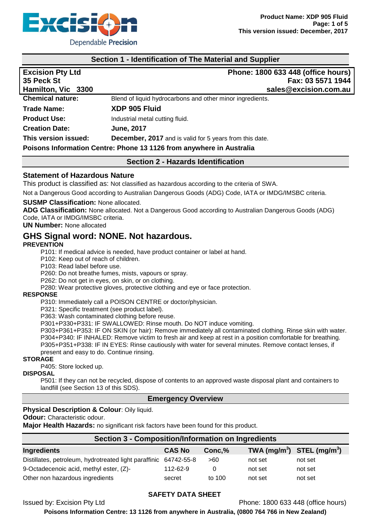

## **Section 1 - Identification of The Material and Supplier**

| <b>Excision Pty Ltd</b><br>35 Peck St<br>Hamilton, Vic 3300          | Phone: 1800 633 448 (office hours)<br>Fax: 03 5571 1944<br>sales@excision.com.au |  |
|----------------------------------------------------------------------|----------------------------------------------------------------------------------|--|
| <b>Chemical nature:</b>                                              | Blend of liquid hydrocarbons and other minor ingredients.                        |  |
| <b>Trade Name:</b>                                                   | XDP 905 Fluid                                                                    |  |
| <b>Product Use:</b>                                                  | Industrial metal cutting fluid.                                                  |  |
| <b>Creation Date:</b>                                                | <b>June, 2017</b>                                                                |  |
| This version issued:                                                 | <b>December, 2017</b> and is valid for 5 years from this date.                   |  |
| Poisons Information Centre: Phone 13 1126 from anywhere in Australia |                                                                                  |  |

**Section 2 - Hazards Identification**

## **Statement of Hazardous Nature**

This product is classified as: Not classified as hazardous according to the criteria of SWA.

Not a Dangerous Good according to Australian Dangerous Goods (ADG) Code, IATA or IMDG/IMSBC criteria.

#### **SUSMP Classification:** None allocated.

**ADG Classification:** None allocated. Not a Dangerous Good according to Australian Dangerous Goods (ADG) Code, IATA or IMDG/IMSBC criteria.

#### **UN Number:** None allocated

# **GHS Signal word: NONE. Not hazardous.**

#### **PREVENTION**

P101: If medical advice is needed, have product container or label at hand.

P102: Keep out of reach of children.

P103: Read label before use.

P260: Do not breathe fumes, mists, vapours or spray.

P262: Do not get in eyes, on skin, or on clothing.

P280: Wear protective gloves, protective clothing and eye or face protection.

#### **RESPONSE**

P310: Immediately call a POISON CENTRE or doctor/physician.

P321: Specific treatment (see product label).

P363: Wash contaminated clothing before reuse.

P301+P330+P331: IF SWALLOWED: Rinse mouth. Do NOT induce vomiting.

P303+P361+P353: IF ON SKIN (or hair): Remove immediately all contaminated clothing. Rinse skin with water. P304+P340: IF INHALED: Remove victim to fresh air and keep at rest in a position comfortable for breathing. P305+P351+P338: IF IN EYES: Rinse cautiously with water for several minutes. Remove contact lenses, if present and easy to do. Continue rinsing.

## **STORAGE**

P405: Store locked up.

#### **DISPOSAL**

P501: If they can not be recycled, dispose of contents to an approved waste disposal plant and containers to landfill (see Section 13 of this SDS).

#### **Emergency Overview**

#### **Physical Description & Colour**: Oily liquid.

**Odour:** Characteristic odour.

**Major Health Hazards:** no significant risk factors have been found for this product.

| Section 3 - Composition/Information on Ingredients               |               |        |                                |         |  |
|------------------------------------------------------------------|---------------|--------|--------------------------------|---------|--|
| <b>Ingredients</b>                                               | <b>CAS No</b> | Conc.% | TWA $(mg/m^3)$ STEL $(mg/m^3)$ |         |  |
| Distillates, petroleum, hydrotreated light paraffinic 64742-55-8 |               | >60    | not set                        | not set |  |
| 9-Octadecenoic acid, methyl ester, (Z)-                          | 112-62-9      | 0      | not set                        | not set |  |
| Other non hazardous ingredients                                  | secret        | to 100 | not set                        | not set |  |

#### **SAFETY DATA SHEET**

Issued by: Excision Pty Ltd Phone: 1800 633 448 (office hours)

**Poisons Information Centre: 13 1126 from anywhere in Australia, (0800 764 766 in New Zealand)**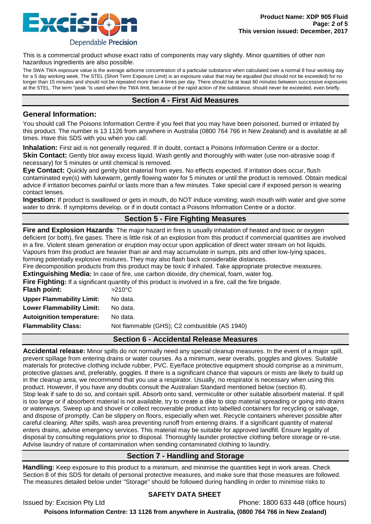

This is a commercial product whose exact ratio of components may vary slightly. Minor quantities of other non hazardous ingredients are also possible.

The SWA TWA exposure value is the average airborne concentration of a particular substance when calculated over a normal 8 hour working day for a 5 day working week. The STEL (Short Term Exposure Limit) is an exposure value that may be equalled (but should not be exceeded) for no longer than 15 minutes and should not be repeated more than 4 times per day. There should be at least 60 minutes between successive exposures at the STEL. The term "peak "is used when the TWA limit, because of the rapid action of the substance, should never be exceeded, even briefly.

# **Section 4 - First Aid Measures**

# **General Information:**

You should call The Poisons Information Centre if you feel that you may have been poisoned, burned or irritated by this product. The number is 13 1126 from anywhere in Australia (0800 764 766 in New Zealand) and is available at all times. Have this SDS with you when you call.

**Inhalation:** First aid is not generally required. If in doubt, contact a Poisons Information Centre or a doctor. **Skin Contact:** Gently blot away excess liquid. Wash gently and thoroughly with water (use non-abrasive soap if necessary) for 5 minutes or until chemical is removed.

**Eye Contact:** Quickly and gently blot material from eyes. No effects expected. If irritation does occur, flush contaminated eye(s) with lukewarm, gently flowing water for 5 minutes or until the product is removed. Obtain medical advice if irritation becomes painful or lasts more than a few minutes. Take special care if exposed person is wearing contact lenses.

**Ingestion:** If product is swallowed or gets in mouth, do NOT induce vomiting; wash mouth with water and give some water to drink. If symptoms develop, or if in doubt contact a Poisons Information Centre or a doctor.

# **Section 5 - Fire Fighting Measures**

**Fire and Explosion Hazards**: The major hazard in fires is usually inhalation of heated and toxic or oxygen deficient (or both), fire gases. There is little risk of an explosion from this product if commercial quantities are involved in a fire. Violent steam generation or eruption may occur upon application of direct water stream on hot liquids. Vapours from this product are heavier than air and may accumulate in sumps, pits and other low-lying spaces, forming potentially explosive mixtures. They may also flash back considerable distances.

Fire decomposition products from this product may be toxic if inhaled. Take appropriate protective measures.

**Extinguishing Media:** In case of fire, use carbon dioxide, dry chemical, foam, water fog.

**Fire Fighting:** If a significant quantity of this product is involved in a fire, call the fire brigade.

| Flash point:                     | $>210^{\circ}$ C                              |
|----------------------------------|-----------------------------------------------|
| <b>Upper Flammability Limit:</b> | No data.                                      |
| <b>Lower Flammability Limit:</b> | No data.                                      |
| <b>Autoignition temperature:</b> | No data.                                      |
| <b>Flammability Class:</b>       | Not flammable (GHS); C2 combustible (AS 1940) |
|                                  |                                               |

# **Section 6 - Accidental Release Measures**

**Accidental release:** Minor spills do not normally need any special cleanup measures. In the event of a major spill, prevent spillage from entering drains or water courses. As a minimum, wear overalls, goggles and gloves. Suitable materials for protective clothing include rubber, PVC. Eye/face protective equipment should comprise as a minimum, protective glasses and, preferably, goggles. If there is a significant chance that vapours or mists are likely to build up in the cleanup area, we recommend that you use a respirator. Usually, no respirator is necessary when using this product. However, if you have any doubts consult the Australian Standard mentioned below (section 8). Stop leak if safe to do so, and contain spill. Absorb onto sand, vermiculite or other suitable absorbent material. If spill is too large or if absorbent material is not available, try to create a dike to stop material spreading or going into drains or waterways. Sweep up and shovel or collect recoverable product into labelled containers for recycling or salvage, and dispose of promptly. Can be slippery on floors, especially when wet. Recycle containers wherever possible after careful cleaning. After spills, wash area preventing runoff from entering drains. If a significant quantity of material enters drains, advise emergency services. This material may be suitable for approved landfill. Ensure legality of disposal by consulting regulations prior to disposal. Thoroughly launder protective clothing before storage or re-use. Advise laundry of nature of contamination when sending contaminated clothing to laundry.

# **Section 7 - Handling and Storage**

**Handling:** Keep exposure to this product to a minimum, and minimise the quantities kept in work areas. Check Section 8 of this SDS for details of personal protective measures, and make sure that those measures are followed. The measures detailed below under "Storage" should be followed during handling in order to minimise risks to

# **SAFETY DATA SHEET**

Issued by: Excision Pty Ltd **Phone: 1800 633 448** (office hours)

**Poisons Information Centre: 13 1126 from anywhere in Australia, (0800 764 766 in New Zealand)**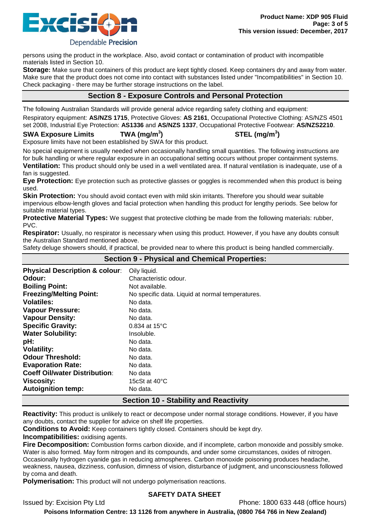

Dependable Precision

persons using the product in the workplace. Also, avoid contact or contamination of product with incompatible materials listed in Section 10.

**Storage:** Make sure that containers of this product are kept tightly closed. Keep containers dry and away from water. Make sure that the product does not come into contact with substances listed under "Incompatibilities" in Section 10. Check packaging - there may be further storage instructions on the label.

# **Section 8 - Exposure Controls and Personal Protection**

The following Australian Standards will provide general advice regarding safety clothing and equipment: Respiratory equipment: **AS/NZS 1715**, Protective Gloves: **AS 2161**, Occupational Protective Clothing: AS/NZS 4501 set 2008, Industrial Eye Protection: **AS1336** and **AS/NZS 1337**, Occupational Protective Footwear: **AS/NZS2210**.

## **SWA Exposure Limits TWA (mg/m<sup>3</sup>**

**) STEL (mg/m<sup>3</sup> )**

Exposure limits have not been established by SWA for this product.

No special equipment is usually needed when occasionally handling small quantities. The following instructions are for bulk handling or where regular exposure in an occupational setting occurs without proper containment systems. **Ventilation:** This product should only be used in a well ventilated area. If natural ventilation is inadequate, use of a fan is suggested.

**Eye Protection:** Eye protection such as protective glasses or goggles is recommended when this product is being used.

**Skin Protection:** You should avoid contact even with mild skin irritants. Therefore you should wear suitable impervious elbow-length gloves and facial protection when handling this product for lengthy periods. See below for suitable material types.

**Protective Material Types:** We suggest that protective clothing be made from the following materials: rubber, PVC.

**Respirator:** Usually, no respirator is necessary when using this product. However, if you have any doubts consult the Australian Standard mentioned above.

Safety deluge showers should, if practical, be provided near to where this product is being handled commercially.

**Section 9 - Physical and Chemical Properties:**

| Section 9 - Friysical and Chemical Froperties. |                                                  |  |
|------------------------------------------------|--------------------------------------------------|--|
| <b>Physical Description &amp; colour:</b>      | Oily liquid.                                     |  |
| Odour:                                         | Characteristic odour.                            |  |
| <b>Boiling Point:</b>                          | Not available.                                   |  |
| <b>Freezing/Melting Point:</b>                 | No specific data. Liquid at normal temperatures. |  |
| <b>Volatiles:</b>                              | No data.                                         |  |
| <b>Vapour Pressure:</b>                        | No data.                                         |  |
| <b>Vapour Density:</b>                         | No data.                                         |  |
| <b>Specific Gravity:</b>                       | 0.834 at $15^{\circ}$ C                          |  |
| <b>Water Solubility:</b>                       | Insoluble.                                       |  |
| pH:                                            | No data.                                         |  |
| <b>Volatility:</b>                             | No data.                                         |  |
| <b>Odour Threshold:</b>                        | No data.                                         |  |
| <b>Evaporation Rate:</b>                       | No data.                                         |  |
| <b>Coeff Oil/water Distribution:</b>           | No data                                          |  |
| <b>Viscosity:</b>                              | 15 $c$ St at 40 $\rm{^{\circ}C}$                 |  |
| <b>Autoignition temp:</b>                      | No data.                                         |  |

# **Section 10 - Stability and Reactivity**

**Reactivity:** This product is unlikely to react or decompose under normal storage conditions. However, if you have any doubts, contact the supplier for advice on shelf life properties.

**Conditions to Avoid:** Keep containers tightly closed. Containers should be kept dry.

**Incompatibilities:** oxidising agents.

**Fire Decomposition:** Combustion forms carbon dioxide, and if incomplete, carbon monoxide and possibly smoke. Water is also formed. May form nitrogen and its compounds, and under some circumstances, oxides of nitrogen. Occasionally hydrogen cyanide gas in reducing atmospheres. Carbon monoxide poisoning produces headache, weakness, nausea, dizziness, confusion, dimness of vision, disturbance of judgment, and unconsciousness followed by coma and death.

**Polymerisation:** This product will not undergo polymerisation reactions.

# **SAFETY DATA SHEET**

Issued by: Excision Pty Ltd Phone: 1800 633 448 (office hours)

**Poisons Information Centre: 13 1126 from anywhere in Australia, (0800 764 766 in New Zealand)**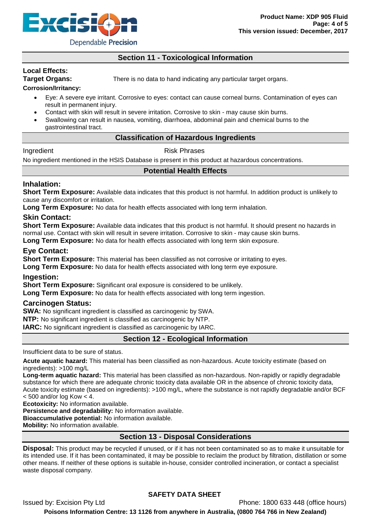

# **Section 11 - Toxicological Information**

# **Local Effects:**

**Target Organs:** There is no data to hand indicating any particular target organs.

## **Corrosion/Irritancy:**

- Eye: A severe eye irritant. Corrosive to eyes: contact can cause corneal burns. Contamination of eyes can result in permanent injury.
- Contact with skin will result in severe irritation. Corrosive to skin may cause skin burns.
- Swallowing can result in nausea, vomiting, diarrhoea, abdominal pain and chemical burns to the gastrointestinal tract.

# **Classification of Hazardous Ingredients**

# Ingredient **Risk Phrases**

No ingredient mentioned in the HSIS Database is present in this product at hazardous concentrations.

# **Potential Health Effects**

# **Inhalation:**

**Short Term Exposure:** Available data indicates that this product is not harmful. In addition product is unlikely to cause any discomfort or irritation.

**Long Term Exposure:** No data for health effects associated with long term inhalation.

## **Skin Contact:**

**Short Term Exposure:** Available data indicates that this product is not harmful. It should present no hazards in normal use. Contact with skin will result in severe irritation. Corrosive to skin - may cause skin burns.

**Long Term Exposure:** No data for health effects associated with long term skin exposure.

## **Eye Contact:**

**Short Term Exposure:** This material has been classified as not corrosive or irritating to eyes.

**Long Term Exposure:** No data for health effects associated with long term eye exposure.

# **Ingestion:**

**Short Term Exposure:** Significant oral exposure is considered to be unlikely.

**Long Term Exposure:** No data for health effects associated with long term ingestion.

#### **Carcinogen Status:**

**SWA:** No significant ingredient is classified as carcinogenic by SWA.

**NTP:** No significant ingredient is classified as carcinogenic by NTP.

**IARC:** No significant ingredient is classified as carcinogenic by IARC.

# **Section 12 - Ecological Information**

Insufficient data to be sure of status.

**Acute aquatic hazard:** This material has been classified as non-hazardous. Acute toxicity estimate (based on ingredients): >100 mg/L

**Long-term aquatic hazard:** This material has been classified as non-hazardous. Non-rapidly or rapidly degradable substance for which there are adequate chronic toxicity data available OR in the absence of chronic toxicity data, Acute toxicity estimate (based on ingredients): >100 mg/L, where the substance is not rapidly degradable and/or BCF  $<$  500 and/or log Kow  $<$  4.

**Ecotoxicity:** No information available.

**Persistence and degradability:** No information available.

**Bioaccumulative potential:** No information available.

**Mobility:** No information available.

# **Section 13 - Disposal Considerations**

**Disposal:** This product may be recycled if unused, or if it has not been contaminated so as to make it unsuitable for its intended use. If it has been contaminated, it may be possible to reclaim the product by filtration, distillation or some other means. If neither of these options is suitable in-house, consider controlled incineration, or contact a specialist waste disposal company.

# **SAFETY DATA SHEET**

Issued by: Excision Pty Ltd Phone: 1800 633 448 (office hours) **Poisons Information Centre: 13 1126 from anywhere in Australia, (0800 764 766 in New Zealand)**